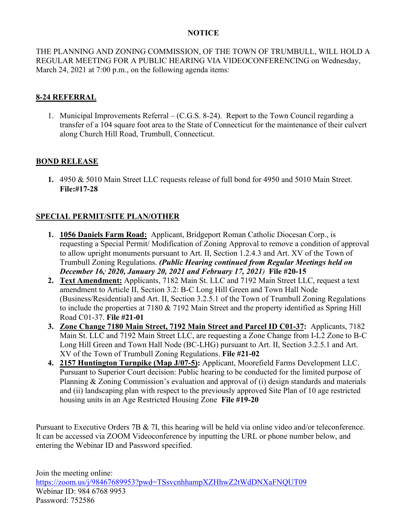## **NOTICE**

THE PLANNING AND ZONING COMMISSION, OF THE TOWN OF TRUMBULL, WILL HOLD A REGULAR MEETING FOR A PUBLIC HEARING VIA VIDEOCONFERENCING on Wednesday, March 24, 2021 at 7:00 p.m., on the following agenda items:

## **8-24 REFERRAL**

1. Municipal Improvements Referral – (C.G.S. 8-24). Report to the Town Council regarding a transfer of a 104 square foot area to the State of Connecticut for the maintenance of their culvert along Church Hill Road, Trumbull, Connecticut.

## **BOND RELEASE**

**1.** 4950 & 5010 Main Street LLC requests release of full bond for 4950 and 5010 Main Street. **File:#17-28**

## **SPECIAL PERMIT/SITE PLAN/OTHER**

- **1. 1056 Daniels Farm Road:** Applicant, Bridgeport Roman Catholic Diocesan Corp., is requesting a Special Permit/ Modification of Zoning Approval to remove a condition of approval to allow upright monuments pursuant to Art. II, Section 1.2.4.3 and Art. XV of the Town of Trumbull Zoning Regulations. *(Public Hearing continued from Regular Meetings held on December 16,, 2020, January 20, 2021 and February 17, 2021)* **File #20-15**
- **2. Text Amendment:** Applicants, 7182 Main St. LLC and 7192 Main Street LLC, request a text amendment to Article II, Section 3.2: B-C Long Hill Green and Town Hall Node (Business/Residential) and Art. II, Section 3.2.5.1 of the Town of Trumbull Zoning Regulations to include the properties at 7180 & 7192 Main Street and the property identified as Spring Hill Road C01-37. **File #21-01**
- **3. Zone Change 7180 Main Street, 7192 Main Street and Parcel ID C01-37:** Applicants, 7182 Main St. LLC and 7192 Main Street LLC, are requesting a Zone Change from I-L2 Zone to B-C Long Hill Green and Town Hall Node (BC-LHG) pursuant to Art. II, Section 3.2.5.1 and Art. XV of the Town of Trumbull Zoning Regulations. **File #21-02**
- **4. 2157 Huntington Turnpike (Map J/07-5):** Applicant, Moorefield Farms Development LLC. Pursuant to Superior Court decision: Public hearing to be conducted for the limited purpose of Planning & Zoning Commission's evaluation and approval of (i) design standards and materials and (ii) landscaping plan with respect to the previously approved Site Plan of 10 age restricted housing units in an Age Restricted Housing Zone **File #19-20**

Pursuant to Executive Orders 7B & 7I, this hearing will be held via online video and/or teleconference. It can be accessed via ZOOM Videoconference by inputting the URL or phone number below, and entering the Webinar ID and Password specified.